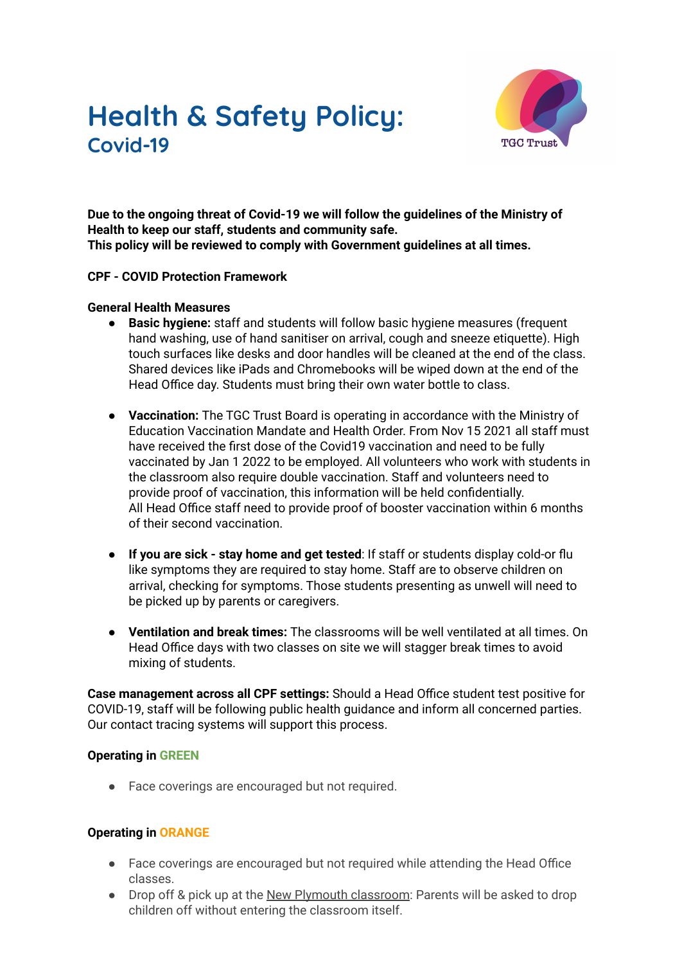# **Health & Safety Policy: Covid-19**



**Due to the ongoing threat of Covid-19 we will follow the guidelines of the Ministry of Health to keep our staff, students and community safe. This policy will be reviewed to comply with Government guidelines at all times.**

## **CPF - COVID Protection Framework**

## **General Health Measures**

- **● Basic hygiene:** staff and students will follow basic hygiene measures (frequent hand washing, use of hand sanitiser on arrival, cough and sneeze etiquette). High touch surfaces like desks and door handles will be cleaned at the end of the class. Shared devices like iPads and Chromebooks will be wiped down at the end of the Head Office day. Students must bring their own water bottle to class.
- **Vaccination:** The TGC Trust Board is operating in accordance with the Ministry of Education Vaccination Mandate and Health Order. From Nov 15 2021 all staff must have received the first dose of the Covid19 vaccination and need to be fully vaccinated by Jan 1 2022 to be employed. All volunteers who work with students in the classroom also require double vaccination. Staff and volunteers need to provide proof of vaccination, this information will be held confidentially. All Head Office staff need to provide proof of booster vaccination within 6 months of their second vaccination.
- **If you are sick - stay home and get tested**: If staff or students display cold-or flu like symptoms they are required to stay home. Staff are to observe children on arrival, checking for symptoms. Those students presenting as unwell will need to be picked up by parents or caregivers.
- **Ventilation and break times:** The classrooms will be well ventilated at all times. On Head Office days with two classes on site we will stagger break times to avoid mixing of students.

**Case management across all CPF settings:** Should a Head Office student test positive for COVID-19, staff will be following public health guidance and inform all concerned parties. Our contact tracing systems will support this process.

## **Operating in GREEN**

● Face coverings are encouraged but not required.

## **Operating in ORANGE**

- Face coverings are encouraged but not required while attending the Head Office classes.
- Drop off & pick up at the New Plymouth classroom: Parents will be asked to drop children off without entering the classroom itself.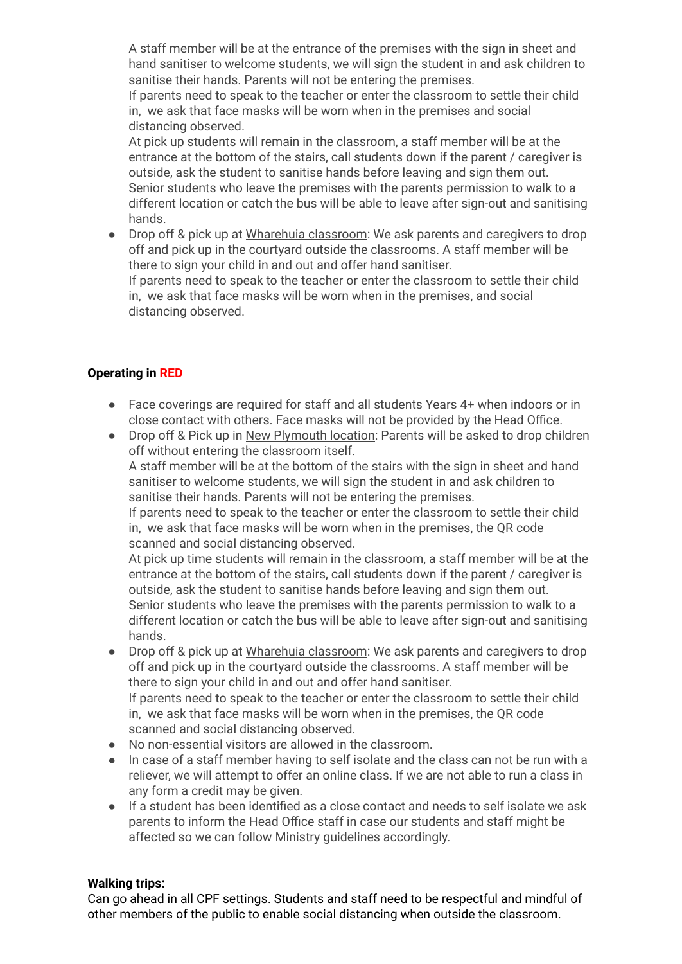A staff member will be at the entrance of the premises with the sign in sheet and hand sanitiser to welcome students, we will sign the student in and ask children to sanitise their hands. Parents will not be entering the premises.

If parents need to speak to the teacher or enter the classroom to settle their child in, we ask that face masks will be worn when in the premises and social distancing observed.

At pick up students will remain in the classroom, a staff member will be at the entrance at the bottom of the stairs, call students down if the parent / caregiver is outside, ask the student to sanitise hands before leaving and sign them out. Senior students who leave the premises with the parents permission to walk to a different location or catch the bus will be able to leave after sign-out and sanitising hands.

● Drop off & pick up at Wharehuia classroom: We ask parents and caregivers to drop off and pick up in the courtyard outside the classrooms. A staff member will be there to sign your child in and out and offer hand sanitiser.

If parents need to speak to the teacher or enter the classroom to settle their child in, we ask that face masks will be worn when in the premises, and social distancing observed.

## **Operating in RED**

- Face coverings are required for staff and all students Years 4+ when indoors or in close contact with others. Face masks will not be provided by the Head Office.
- Drop off & Pick up in New Plymouth location: Parents will be asked to drop children off without entering the classroom itself. A staff member will be at the bottom of the stairs with the sign in sheet and hand

sanitiser to welcome students, we will sign the student in and ask children to sanitise their hands. Parents will not be entering the premises.

If parents need to speak to the teacher or enter the classroom to settle their child in, we ask that face masks will be worn when in the premises, the QR code scanned and social distancing observed.

At pick up time students will remain in the classroom, a staff member will be at the entrance at the bottom of the stairs, call students down if the parent / caregiver is outside, ask the student to sanitise hands before leaving and sign them out. Senior students who leave the premises with the parents permission to walk to a different location or catch the bus will be able to leave after sign-out and sanitising hands.

● Drop off & pick up at Wharehuia classroom: We ask parents and caregivers to drop off and pick up in the courtyard outside the classrooms. A staff member will be there to sign your child in and out and offer hand sanitiser. If parents need to speak to the teacher or enter the classroom to settle their child

in, we ask that face masks will be worn when in the premises, the QR code scanned and social distancing observed.

- No non-essential visitors are allowed in the classroom.
- In case of a staff member having to self isolate and the class can not be run with a reliever, we will attempt to offer an online class. If we are not able to run a class in any form a credit may be given.
- If a student has been identified as a close contact and needs to self isolate we ask parents to inform the Head Office staff in case our students and staff might be affected so we can follow Ministry guidelines accordingly.

## **Walking trips:**

Can go ahead in all CPF settings. Students and staff need to be respectful and mindful of other members of the public to enable social distancing when outside the classroom.